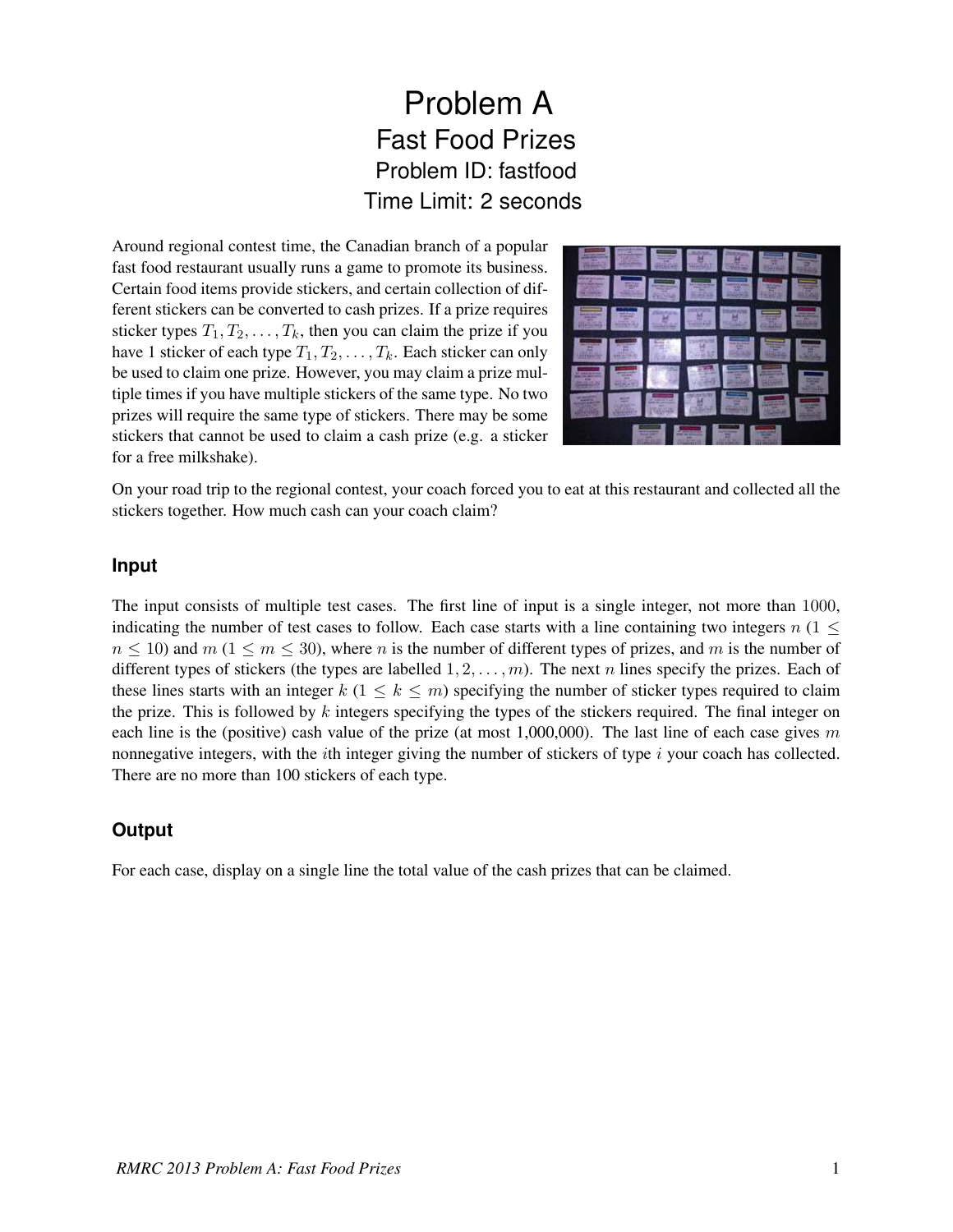## Problem A Fast Food Prizes Problem ID: fastfood Time Limit: 2 seconds

Around regional contest time, the Canadian branch of a popular fast food restaurant usually runs a game to promote its business. Certain food items provide stickers, and certain collection of different stickers can be converted to cash prizes. If a prize requires sticker types  $T_1, T_2, \ldots, T_k$ , then you can claim the prize if you have 1 sticker of each type  $T_1, T_2, \ldots, T_k$ . Each sticker can only be used to claim one prize. However, you may claim a prize multiple times if you have multiple stickers of the same type. No two prizes will require the same type of stickers. There may be some stickers that cannot be used to claim a cash prize (e.g. a sticker for a free milkshake).



On your road trip to the regional contest, your coach forced you to eat at this restaurant and collected all the stickers together. How much cash can your coach claim?

## **Input**

The input consists of multiple test cases. The first line of input is a single integer, not more than 1000, indicating the number of test cases to follow. Each case starts with a line containing two integers  $n(1 \leq$  $n \le 10$ ) and  $m$  (1  $\le m \le 30$ ), where n is the number of different types of prizes, and m is the number of different types of stickers (the types are labelled  $1, 2, \ldots, m$ ). The next n lines specify the prizes. Each of these lines starts with an integer  $k$  (1  $\leq k \leq m$ ) specifying the number of sticker types required to claim the prize. This is followed by  $k$  integers specifying the types of the stickers required. The final integer on each line is the (positive) cash value of the prize (at most 1,000,000). The last line of each case gives m nonnegative integers, with the *i*th integer giving the number of stickers of type  $i$  your coach has collected. There are no more than 100 stickers of each type.

## **Output**

For each case, display on a single line the total value of the cash prizes that can be claimed.